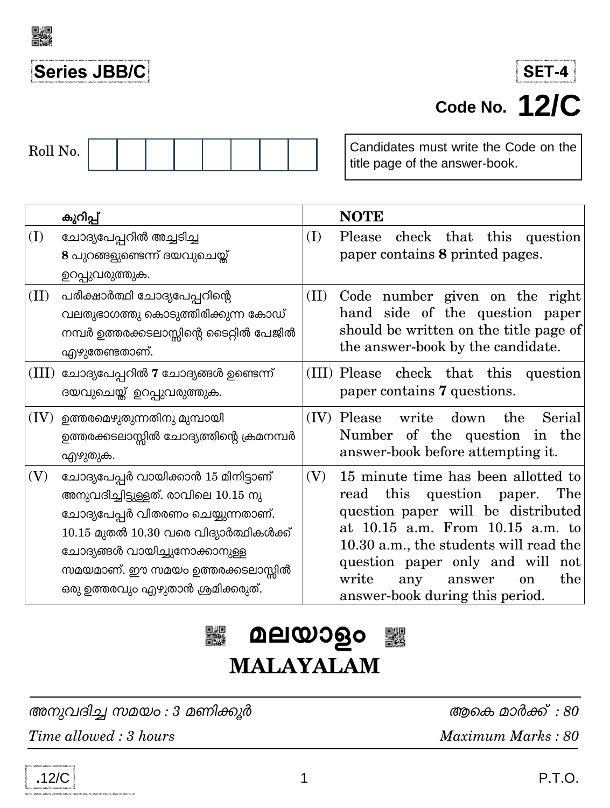

# Series JBB/C

| Roll No. |  |  |  |  |  |  |  |  |
|----------|--|--|--|--|--|--|--|--|
|----------|--|--|--|--|--|--|--|--|

Candidates must write the Code on the title page of the answer-book.

|      | കുറിപ്പ്                                                                                                                                                                                                                                                                 |      | <b>NOTE</b>                                                                                                                                                                                                                                                                                                             |
|------|--------------------------------------------------------------------------------------------------------------------------------------------------------------------------------------------------------------------------------------------------------------------------|------|-------------------------------------------------------------------------------------------------------------------------------------------------------------------------------------------------------------------------------------------------------------------------------------------------------------------------|
| (I)  | ചോദ്യപേപ്പറിൽ അച്ചടിച്ച<br>8 പുറങ്ങളുണ്ടെന്ന് ദയവുചെയ്ത്<br>ഉറപ്പുവരുത്തുക.                                                                                                                                                                                              | (I)  | check that this question<br>Please<br>paper contains 8 printed pages.                                                                                                                                                                                                                                                   |
| (II) | പരീക്ഷാർത്ഥി ചോദ്യപേപ്പറിന്റെ<br>വലതുഭാഗത്തു കൊടുത്തിരിക്കുന്ന കോഡ്<br>നമ്പർ ഉത്തരക്കടലാസ്സിന്റെ ടൈറ്റിൽ പേജിൽ<br>എഴുതേണ്ടതാണ്.                                                                                                                                          | (II) | Code number given on the right<br>hand side of the question paper<br>should be written on the title page of<br>the answer-book by the candidate.                                                                                                                                                                        |
|      | $(III)$ ചോദ്യപേപ്പറിൽ 7 ചോദ്യങ്ങൾ ഉണ്ടെന്ന്<br>ദയവുചെയ്ത് ഉറപ്പുവരുത്തുക.                                                                                                                                                                                                |      | (III) Please check that this question<br>paper contains 7 questions.                                                                                                                                                                                                                                                    |
|      | $(IV)$ ഉത്തരമെഴുതുന്നതിനു മുമ്പായി<br>ഉത്തരക്കടലാസ്സിൽ ചോദ്യത്തിന്റെ ക്രമനമ്പർ<br>എഴുതുക.                                                                                                                                                                                |      | (IV) Please<br>write<br>the<br>down<br>Serial<br>Number of the question in the<br>answer-book before attempting it.                                                                                                                                                                                                     |
| (V)  | ചോദ്യപേപ്പർ വായിക്കാൻ 15 മിനിട്ടാണ്<br>അനുവദിച്ചിട്ടുള്ളത്. രാവിലെ 10.15 നു<br>ചോദ്യപേപ്പർ വിതരണം ചെയ്യുന്നതാണ്.<br>$10.15$ മുതൽ $10.30$ വരെ വിദ്യാർത്ഥികൾക്ക്<br>ചോദ്യങ്ങൾ വായിച്ചുനോക്കാനുള്ള<br>സമയമാണ്. ഈ സമയം ഉത്തരക്കടലാസ്സിൽ<br>ഒരു ഉത്തരവും എഴുതാൻ ശ്രമിക്കരുത്. | (V)  | 15 minute time has been allotted to<br>this question paper.<br>The<br>read<br>question paper will be distributed<br>at 10.15 a.m. From 10.15 a.m. to<br>10.30 a.m., the students will read the<br>question paper only and will not<br>write<br>the<br>any<br>answer<br><sub>on</sub><br>answer-book during this period. |



അനുവദിച്ച സമയം: 3 മണിക്കൂർ Time allowed: 3 hours

ആകെ മാർക്ക് : 80 Maximum Marks: 80

 $.12/C$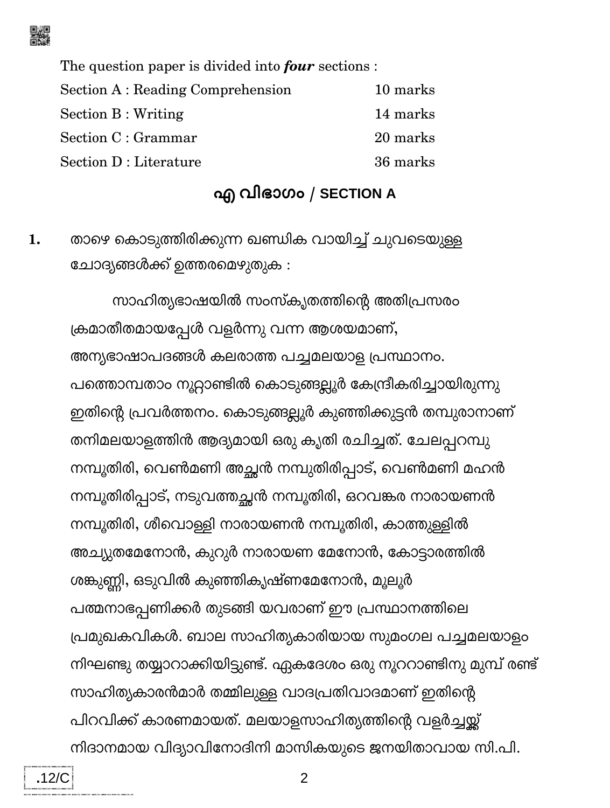

The question paper is divided into four sections : Section A : Reading Comprehension 10 marks Section B: Writing 14 marks Section C : Grammar 20 marks Section D : Literature 36 marks

#### എ വിഭാഗം / SECTION A

താഴെ കൊടുത്തിരിക്കുന്ന ഖണ്ഡിക വായിച്ച് ചുവടെയുള്ള 1. ചോദ്യങ്ങൾക്ക് ഉത്തരമെഴുതുക :

സാഹിതൃഭാഷയിൽ സംസ്കൃതത്തിന്റെ അതിപ്രസരം ക്രമാതീതമായപ്പേൾ വളർന്നു വന്ന ആശയമാണ്, അന്യഭാഷാപദങ്ങൾ കലരാത്ത പച്ചമലയാള പ്രസ്ഥാനം. പത്തൊമ്പതാം നൂറ്റാണ്ടിൽ കൊടുങ്ങല്ലൂർ കേന്ദ്രീകരിച്ചായിരുന്നു ഇതിന്റെ പ്രവർത്തനം. കൊടുങ്ങല്ലൂർ കുഞ്ഞിക്കുട്ടൻ തമ്പുരാനാണ് തനിമലയാളത്തിൻ ആദ്യമായി ഒരു കൃതി രചിച്ചത്. ചേലപ്പറമ്പു നമ്പൂതിരി, വെൺമണി അച്ഛൻ നമ്പുതിരിപ്പാട്, വെൺമണി മഹൻ നമ്പൂതിരിപ്പാട്, നടുവത്തച്ഛൻ നമ്പൂതിരി, ഒറവങ്കര നാരായണൻ നമ്പൂതിരി, ശീവൊള്ളി നാരായണൻ നമ്പൂതിരി, കാത്തുള്ളിൽ അച്യുതമേനോൻ, കുറുർ നാരായണ മേനോൻ, കോട്ടാരത്തിൽ ശങ്കുണ്ണി, ഒടുവിൽ കുഞ്ഞികൃഷ്ണമേനോൻ, മൂലൂർ പത്മനാഭപ്പണിക്കർ തുടങ്ങി യവരാണ് ഈ പ്രസ്ഥാനത്തിലെ പ്രമുഖകവികൾ. ബാല സാഹിത്യകാരിയായ സുമംഗല പച്ചമലയാളം നിഘണ്ടു തയ്യാറാക്കിയിട്ടുണ്ട്. ഏകദേശം ഒരു നൂററാണ്ടിനു മുമ്പ് രണ്ട് സാഹിത്യകാരൻമാർ തമ്മിലുള്ള വാദപ്രതിവാദമാണ് ഇതിന്റെ പിറവിക്ക് കാരണമായത്. മലയാളസാഹിത്യത്തിന്റെ വളർച്ചയ്ക്ക് നിദാനമായ വിദ്യാവിനോദിനി മാസികയുടെ ജനയിതാവായ സി.പി.

 $\overline{2}$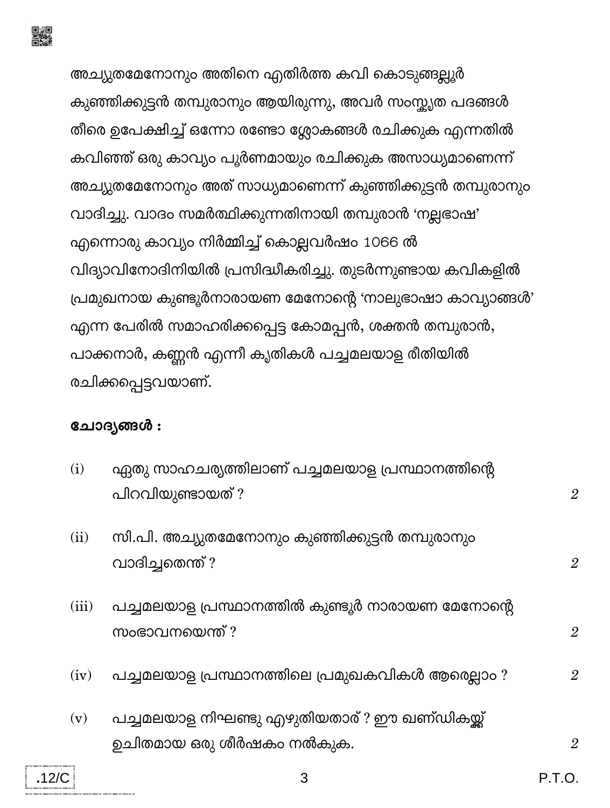

അച്യുതമേനോനും അതിനെ എതിർത്ത കവി കൊടുങ്ങല്ലൂർ കുഞ്ഞിക്കുട്ടൻ തമ്പുരാനും ആയിരുന്നു, അവർ സംസ്കൃത പദങ്ങൾ തീരെ ഉപേക്ഷിച്ച് ഒന്നോ രണ്ടോ ശ്ലോകങ്ങൾ രചിക്കുക എന്നതിൽ കവിഞ്ഞ് ഒരു കാവ്യം പൂർണമായും രചിക്കുക അസാധ്യമാണെന്ന് അച്യുതമേനോനും അത് സാധ്യമാണെന്ന് കുഞ്ഞിക്കുട്ടൻ തമ്പുരാനും വാദിച്ചു. വാദം സമർത്ഥിക്കുന്നതിനായി തമ്പുരാൻ 'നല്ലഭാഷ' എന്നൊരു കാവ്യം നിർമ്മിച്ച് കൊല്ലവർഷം 1066 ൽ വിദ്യാവിനോദിനിയിൽ പ്രസിദ്ധീകരിച്ചു. തുടർന്നുണ്ടായ കവികളിൽ പ്രമുഖനായ കുണ്ടൂർനാരായണ മേനോന്റെ 'നാലുഭാഷാ കാവ്യാങ്ങൾ' എന്ന പേരിൽ സമാഹരിക്കപ്പെട്ട കോമപ്പൻ, ശക്തൻ തമ്പുരാൻ, പാക്കനാർ, കണ്ണൻ എന്നീ കൃതികൾ പച്ചമലയാള രീതിയിൽ രചിക്കപ്പെട്ടവയാണ്.

#### ചോദ്യങ്ങൾ:

| (i)   | ഏതു സാഹചര്യത്തിലാണ് പച്ചമലയാള പ്രസ്ഥാനത്തിന്റെ<br>പിറവിയുണ്ടായത് ?         | $\overline{2}$ |
|-------|----------------------------------------------------------------------------|----------------|
| (ii)  | സി.പി. അച്യുതമേനോനും കുഞ്ഞിക്കുട്ടൻ തമ്പുരാനും<br>വാദിച്ചതെന്ത് ?          | $\overline{2}$ |
| (iii) | പച്ചമലയാള പ്രസ്ഥാനത്തിൽ കുണ്ടൂർ നാരായണ മേനോന്റെ<br>സംഭാവനയെന്ത് ?          | $\overline{2}$ |
| (iv)  | പച്ചമലയാള പ്രസ്ഥാനത്തിലെ പ്രമുഖകവികൾ ആരെല്ലാം ?                            | $\overline{2}$ |
| (v)   | പച്ചമലയാള നിഘണ്ടു എഴുതിയതാര് ? ഈ ഖണ്ഡികയ്ക്ക്<br>ഉചിതമായ ഒരു ശീർഷകം നൽകുക. | $\overline{2}$ |

3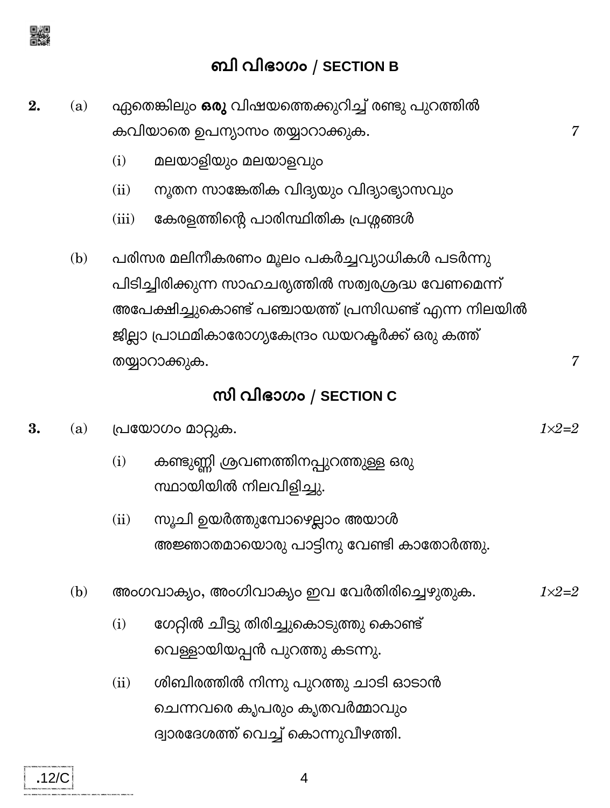

### ബി വിഭാഗം / SECTION B

- ഏതെങ്കിലും ഒരു വിഷയത്തെക്കുറിച്ച് രണ്ടു പുറത്തിൽ  $2.$  $(a)$ കവിയാതെ ഉപന്യാസം തയ്യാറാക്കുക.
	- മലയാളിയും മലയാളവും  $(i)$
	- നൂതന സാങ്കേതിക വിദ്യയും വിദ്യാഭ്യാസവും  $(ii)$
	- കേരളത്തിന്റെ പാരിസ്ഥിതിക പ്രശ്നങ്ങൾ  $(iii)$
	- പരിസര മലിനീകരണം മൂലം പകർച്ചവ്യാധികൾ പടർന്നു  $(b)$ പിടിച്ചിരിക്കുന്ന സാഹചര്യത്തിൽ സത്വരശ്രദ്ധ വേണമെന്ന് അപേക്ഷിച്ചുകൊണ്ട് പഞ്ചായത്ത് പ്രസിഡണ്ട് എന്ന നിലയിൽ ജില്ലാ പ്രാഥമികാരോഗ്യകേന്ദ്രം ഡയറക്ടർക്ക് ഒരു കത്ത് തയ്യാറാക്കുക.

### സി വിഭാഗം / SECTION C

- 3. പ്രയോഗം മാറ്റുക.  $(a)$ 
	- കണ്ടുണ്ണി ശ്രവണത്തിനപ്പുറത്തുള്ള ഒരു  $(i)$ സ്ഥായിയിൽ നിലവിളിച്ചു.
	- സൂചി ഉയർത്തുമ്പോഴെല്ലാം അയാൾ  $(ii)$ അജ്ഞാതമായൊരു പാട്ടിനു വേണ്ടി കാതോർത്തു.
	- $(b)$ അംഗവാക്യം, അംഗിവാക്യം ഇവ വേർതിരിച്ചെഴുതുക.  $1 \times 2 = 2$ 
		- ഗേറ്റിൽ ചീട്ടു തിരിച്ചുകൊടുത്തു കൊണ്ട്  $(i)$ വെള്ളായിയപ്പൻ പുറത്തു കടന്നു.
		- ശിബിരത്തിൽ നിന്നു പുറത്തു ചാടി ഓടാൻ  $(ii)$ ചെന്നവരെ കൃപരും കൃതവർമ്മാവും ദ്വാരദേശത്ത് വെച്ച് കൊന്നുവീഴത്തി.

7

 $1 \times 2 = 2$ 

 $\overline{7}$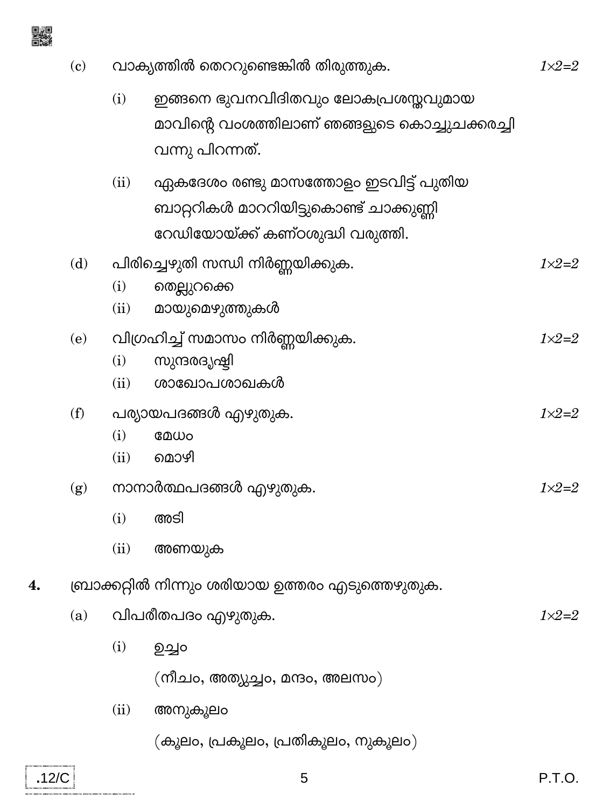

 $\overline{\mathbf{4}}$ 

 $\overline{.12/C}$ 

.<br>Dia mempinyai mempinyai kembanyai me

| (c) | വാക്യത്തിൽ തെററുണ്ടെങ്കിൽ തിരുത്തുക. |                                                                                                                     |                  |  |  |
|-----|--------------------------------------|---------------------------------------------------------------------------------------------------------------------|------------------|--|--|
|     | (i)                                  | ഇങ്ങനെ ഭുവനവിദിതവും ലോകപ്രശസ്തവുമായ<br>മാവിന്റെ വംശത്തിലാണ് ഞങ്ങളുടെ കൊച്ചുചക്കരച്ചി<br>വന്നു പിറന്നത്.             |                  |  |  |
|     | (ii)                                 | ഏകദേശം രണ്ടു മാസത്തോളം ഇടവിട്ട് പുതിയ<br>ബാറ്ററികൾ മാററിയിട്ടുകൊണ്ട് ചാക്കുണ്ണി<br>റേഡിയോയ്ക്ക് കണ്ഠശുദ്ധി വരുത്തി. |                  |  |  |
| (d) | (i)<br>(ii)                          | പിരിച്ചെഴുതി സന്ധി നിർണ്ണയിക്കുക.<br>തെല്ലുറക്കെ<br>മായുമെഴുത്തുകൾ                                                  | $1 \times 2 = 2$ |  |  |
| (e) | (i)<br>(ii)                          | വിഗ്രഹിച്ച് സമാസം നിർണ്ണയിക്കുക.<br>സുന്ദരദൃഷ്ടി<br>ശാഖോപശാഖകൾ                                                      | $1 \times 2 = 2$ |  |  |
| (f) | (i)<br>(ii)                          | പര്യായപദങ്ങൾ എഴുതുക.<br>മേധം<br>മൊഴി                                                                                | $1 \times 2 = 2$ |  |  |
| (g) | (i)<br>(ii)                          | നാനാർത്ഥപദങ്ങൾ എഴുതുക.<br>അടി<br>അണയുക                                                                              | $1 \times 2 = 2$ |  |  |
|     |                                      | ബ്രാക്കറ്റിൽ നിന്നും ശരിയായ ഉത്തരം എടുത്തെഴുതുക.                                                                    |                  |  |  |
| (a) |                                      | വിപരീതപദം എഴുതുക.                                                                                                   | $1 \times 2 = 2$ |  |  |
|     | (i)                                  | ഉച്ചം<br>(നീചം, അത്യുച്ചം, മന്ദം, അലസം)                                                                             |                  |  |  |
|     | (ii)                                 | അനുകൂലം                                                                                                             |                  |  |  |
|     |                                      | (കൂലം, പ്രകൂലം, പ്രതികൂലം, നുകൂലം)                                                                                  |                  |  |  |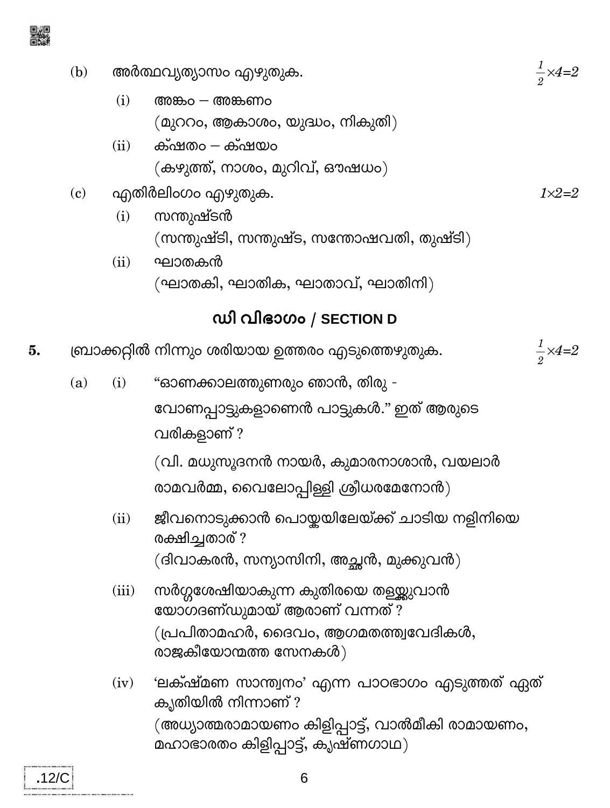- അർത്ഥവൃത്യാസം എഴുതുക.  $(b)$ 
	- $(i)$ അങ്കം $-$  അങ്കണം  $($ മുററം, ആകാശം, യുദ്ധം, നികുതി $)$
	- ക്ഷതം ക്ഷയം  $(ii)$ (കഴുത്ത്, നാശം, മുറിവ്, ഔഷധം)
- എതിർലിംഗം എഴുതുക.  $(c)$ 
	- സന്തുഷ്ടൻ  $(i)$ (സന്തുഷ്ടി, സന്തുഷ്ട, സന്തോഷവതി, തുഷ്ടി)
	- $(ii)$ ഘാതകൻ (ഘാതകി, ഘാതിക, ഘാതാവ്, ഘാതിനി)

## ഡി വിഭാഗം / SECTION D

- ബ്രാക്കറ്റിൽ നിന്നും ശരിയായ ഉത്തരം എടുത്തെഴുതുക. 5.
	- "ഓണക്കാലത്തുണരും ഞാൻ, തിരു - $(i)$  $(a)$ വോണപ്പാട്ടുകളാണെൻ പാട്ടുകൾ." ഇത് ആരുടെ വരികളാണ് ?

(വി. മധുസൂദനൻ നായർ, കുമാരനാശാൻ, വയലാർ രാമവർമ്മ, വൈലോപ്പിള്ളി ശ്രീധരമേനോൻ $)$ 

- ജീവനൊടുക്കാൻ പൊയ്കയിലേയ്ക്ക് ചാടിയ നളിനിയെ  $(ii)$ രക്ഷിച്ചതാര് ? (ദിവാകരൻ, സന്യാസിനി, അച്ഛൻ, മുക്കുവൻ)
- സർഗ്ഗശേഷിയാകുന്ന കുതിരയെ തളയ്ക്കുവാൻ  $(iii)$ യോഗദണ്ഡുമായ് ആരാണ് വന്നത്? (പ്രപിതാമഹർ, ദൈവം, ആഗമതത്ത്വവേദികൾ, രാജകീയോന്മത്ത സേനകൾ)

6

'ലക്ഷ്മണ സാന്ത്വനം' എന്ന പാഠഭാഗം എടുത്തത് ഏത്  $(iv)$ കൃതിയിൽ നിന്നാണ് ? (അധ്യാത്മരാമായണം കിളിപ്പാട്ട്, വാൽമീകി രാമായണം, മഹാഭാരതം കിളിപ്പാട്ട്, കൃഷ്ണഗാഥ)

 $\frac{1}{2} \times 4 = 2$ 

 $\frac{1}{2} \times 4=2$ 

 $1 \times 2 = 2$ 

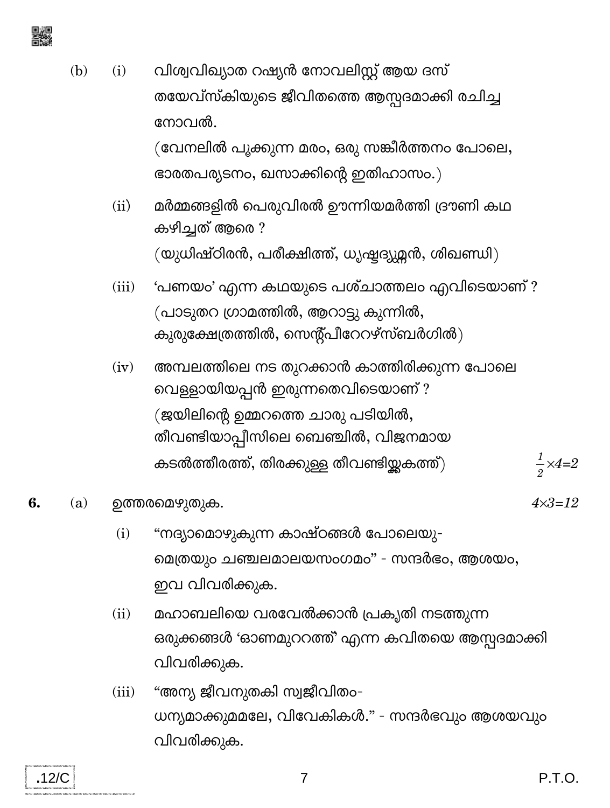

- വിശ്വവിഖ്യാത റഷ്യൻ നോവലിസ്റ്റ് ആയ ദസ്  $(b)$  $(i)$ തയേവ്സ്കിയുടെ ജീവിതത്തെ ആസ്പദമാക്കി രചിച്ച നോവൽ. (വേനലിൽ പൂക്കുന്ന മരം, ഒരു സങ്കീർത്തനം പോലെ, ഭാരതപര്യടനം, ഖസാക്കിന്റെ ഇതിഹാസം.)
	- മർമ്മങ്ങളിൽ പെരുവിരൽ ഊന്നിയമർത്തി ദ്രൗണി കഥ  $(ii)$ കഴിച്ചത് ആരെ ?  $(\omega)$ ധിഷ്ഠിരൻ, പരീക്ഷിത്ത്, ധൃഷ്ട്യുമ്മൻ, ശിഖണ്ഡി $)$
	- 'പണയം' എന്ന കഥയുടെ പശ്ചാത്തലം എവിടെയാണ് ?  $(iii)$ (പാടുതറ ഗ്രാമത്തിൽ, ആറാട്ടു കുന്നിൽ, കുരുക്ഷേത്രത്തിൽ, സെന്റ്പീറേറഴ്സ്ബർഗിൽ)
	- അമ്പലത്തിലെ നട തുറക്കാൻ കാത്തിരിക്കുന്ന പോലെ  $(iv)$ വെള്ളായിയപ്പൻ ഇരുന്നതെവിടെയാണ് ? (ജയിലിന്റെ ഉമ്മറത്തെ ചാരു പടിയിൽ, തീവണ്ടിയാപ്പീസിലെ ബെഞ്ചിൽ, വിജനമായ കടൽത്തീരത്ത്, തിരക്കുള്ള തീവണ്ടിയ്ക്കക്ത്)  $\frac{1}{2} \times 4=2$

#### 6. ഉത്തരമെഴുതുക.  $(a)$

 $.12/C$ 

- "നദ്യാമൊഴുകുന്ന കാഷ്ഠങ്ങൾ പോലെയു- $(i)$ മെത്രയും ചഞ്ചലമാലയസംഗമം" - സന്ദർഭം, ആശയം, ഇവ വിവരിക്കുക.
- മഹാബലിയെ വരവേൽക്കാൻ പ്രകൃതി നടത്തുന്ന  $(ii)$ ഒരുക്കങ്ങൾ 'ഓണമുററത്ത്' എന്ന കവിതയെ ആസ്പദമാക്കി വിവരിക്കുക.
- "അന്യ ജീവനുതകി സ്വജീവിതം- $(iii)$ ധന്യമാക്കുമമലേ, വിവേകികൾ." - സന്ദർഭവും ആശയവും വിവരിക്കുക.

 $4 \times 3 = 12$